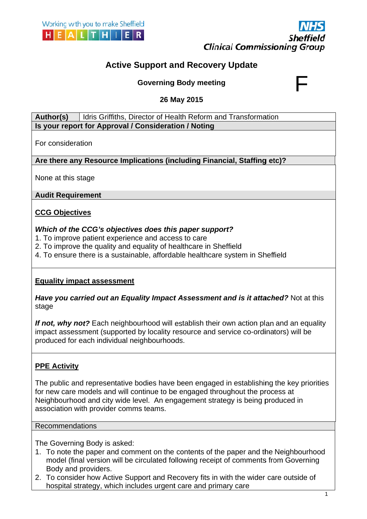



# **Active Support and Recovery Update**

**Governing Body meeting** 

**26 May 2015** 

**Author(s)** Idris Griffiths, Director of Health Reform and Transformation **Is your report for Approval / Consideration / Noting** 

For consideration

**Are there any Resource Implications (including Financial, Staffing etc)?** 

None at this stage

Audit Requirement<br><u>CCG Objectives</u>

**CG Objectives** 

### Which of the CCG's objectives does this paper support?

- 1. To improve patient experience and access to care
- 2. To improve the quality and equality of healthcare in Sheffield
- 4. To ensure there is a sustainable, affordable healthcare system in Sheffield

### **<u>Equality impact assessment</u>**

Have you carried out an Equality Impact Assessment and is it attached? Not at this stage

If not, why not? Each neighbourhood will establish their own action plan and an equality impact assessment (supported by locality resource and service co-ordinators) will be produced for each individual neighbourhoods.

# **PPE Activity**

Neighbourhood and city wide level. An engagement strategy is being produced in The public and representative bodies have been engaged in establishing the key priorities for new care models and will continue to be engaged throughout the process at Neighbourhood and city wide level. An e<br>association with provider comms teams.

Recommendations

The Governing Body is asked:

- 1. To note the paper and comment on the contents of the paper and the Neighbourhood model (final version will be circulated following receipt of comments from Governing Body and providers. and the<br>iments f<br>wider c
- 2. To consider how Active Support and Recovery fits in with the wide hospital strategy, which includes urgent care and primary care der care outside of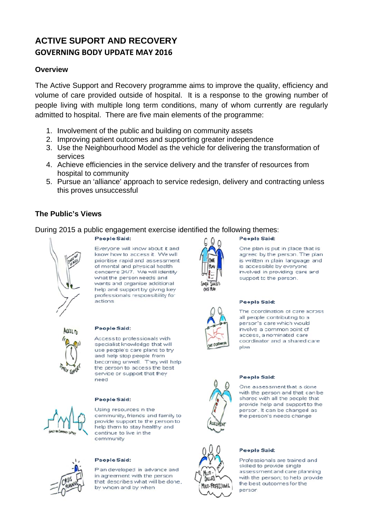# **ACTIVE SUPORT AND RECOVERY GOVERNING BODY UPDATE MAY 2016**

# **Overview**

 admitted to hospital. There are five main elements of the programme: The Active Support and Recovery programme aims to improve the quality, efficiency and volume of care provided outside of hospital. It is a response to the growing number of people living with multiple long term conditions, many of whom currently are regularly

- 1. Involvement of the public and building on community assets
- 2. Improving patient outcomes and supporting greater independence
- 3. Use the Neighbourhood Model as the vehicle for delivering the transformation of services
- 4. Achieve efficiencies in the service delivery and the transfer of resources from hospital to community
- 5. Pursue an 'alliance' approach to service redesign, delivery and contracting unless this proves unsuccessful

# **The Public's Views**

During 2015 a public engagement exercise identified the following themes:



Everyone will know about it and know how to access it. We will prioritise rapid and assessment of mental and physical health concerns 24/7. We will identify what the person needs and wants and organise additional help and support by giving key professionals responsibility for actions



#### People Said:

People Said:

Access to professionals with specialist knowledge that will use people's care plans to try and help stop people from becoming unwell. They will help the person to access the best service or support that they need

#### People Said:



Using resources in the community, friends and family to provide support to the person to help them to stay healthy and continue to live in the community



#### People Said:

Plan developed in advance and in agreement with the person that describes what will be done. by whom and by when



### People Said:

One plan is put in place that is agreed by the person. The plan is written in plain language and is accessible by everyone involved in providing care and support to the person.

### **People Said:**

The coordination of care across all people contributing to a person's care which would involve a common point of access, a nominated care coordinator and a shared care nlan



### **People Said:**

One assessment that is done with the person and that can be shared with all the people that provide help and support to the person. It can be changed as the person's needs change



#### **People Said:**

Professionals are trained and skilled to provide single assessment and care planning with the person: to help provide the best outcomes for the person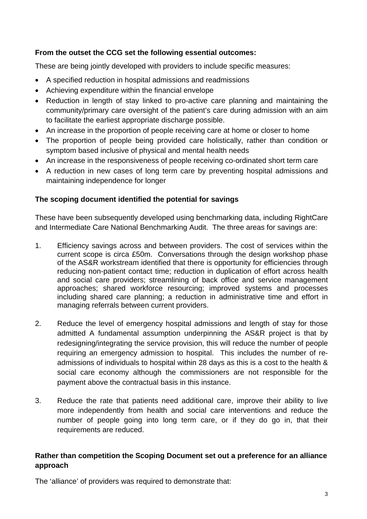# **From the outset the CCG set the following essential outcomes:**

These are being jointly developed with providers to include specific measures:

- A specified reduction in hospital admissions and readmissions
- Achieving expenditure within the financial envelope
- Reduction in length of stay linked to pro-active care planning and maintaining the community/primary care oversight of the patient's care during admission with an aim to facilitate the earliest appropriate discharge possible.
- An increase in the proportion of people receiving care at home or closer to home
- The proportion of people being provided care holistically, rather than condition or symptom based inclusive of physical and mental health needs
- An increase in the responsiveness of people receiving co-ordinated short term care
- A reduction in new cases of long term care by preventing hospital admissions and maintaining independence for longer

# **The scoping document identified the potential for savings**

These have been subsequently developed using benchmarking data, including RightCare and Intermediate Care National Benchmarking Audit. The three areas for savings are:

- 1. Efficiency savings across and between providers. The cost of services within the current scope is circa £50m. Conversations through the design workshop phase of the AS&R workstream identified that there is opportunity for efficiencies through reducing non-patient contact time; reduction in duplication of effort across health and social care providers; streamlining of back office and service management approaches; shared workforce resourcing; improved systems and processes including shared care planning; a reduction in administrative time and effort in managing referrals between current providers.
- 2. Reduce the level of emergency hospital admissions and length of stay for those admitted A fundamental assumption underpinning the AS&R project is that by redesigning/integrating the service provision, this will reduce the number of people requiring an emergency admission to hospital. This includes the number of readmissions of individuals to hospital within 28 days as this is a cost to the health & social care economy although the commissioners are not responsible for the payment above the contractual basis in this instance.
- 3. Reduce the rate that patients need additional care, improve their ability to live more independently from health and social care interventions and reduce the number of people going into long term care, or if they do go in, that their requirements are reduced.

# **Rather than competition the Scoping Document set out a preference for an alliance approach**

The 'alliance' of providers was required to demonstrate that: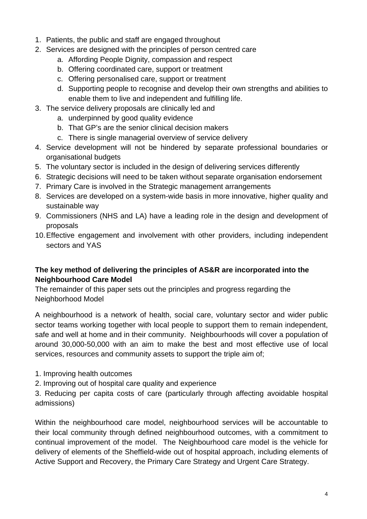- 1. Patients, the public and staff are engaged throughout
- 2. Services are designed with the principles of person centred care
	- a. Affording People Dignity, compassion and respect
	- b. Offering coordinated care, support or treatment
	- c. Offering personalised care, support or treatment
	- d. Supporting people to recognise and develop their own strengths and abilities to enable them to live and independent and fulfilling life.
- 3. The service delivery proposals are clinically led and
	- a. underpinned by good quality evidence
	- b. That GP's are the senior clinical decision makers
	- c. There is single managerial overview of service delivery
- 4. Service development will not be hindered by separate professional boundaries or organisational budgets
- 5. The voluntary sector is included in the design of delivering services differently
- 6. Strategic decisions will need to be taken without separate organisation endorsement
- 7. Primary Care is involved in the Strategic management arrangements
- 8. Services are developed on a system-wide basis in more innovative, higher quality and sustainable way
- 9. Commissioners (NHS and LA) have a leading role in the design and development of proposals
- 10.Effective engagement and involvement with other providers, including independent sectors and YAS

# **The key method of delivering the principles of AS&R are incorporated into the Neighbourhood Care Model**

The remainder of this paper sets out the principles and progress regarding the Neighborhood Model

A neighbourhood is a network of health, social care, voluntary sector and wider public sector teams working together with local people to support them to remain independent, safe and well at home and in their community. Neighbourhoods will cover a population of around 30,000-50,000 with an aim to make the best and most effective use of local services, resources and community assets to support the triple aim of;

- 1. Improving health outcomes
- 2. Improving out of hospital care quality and experience

3. Reducing per capita costs of care (particularly through affecting avoidable hospital admissions)

Within the neighbourhood care model, neighbourhood services will be accountable to their local community through defined neighbourhood outcomes, with a commitment to continual improvement of the model. The Neighbourhood care model is the vehicle for delivery of elements of the Sheffield-wide out of hospital approach, including elements of Active Support and Recovery, the Primary Care Strategy and Urgent Care Strategy.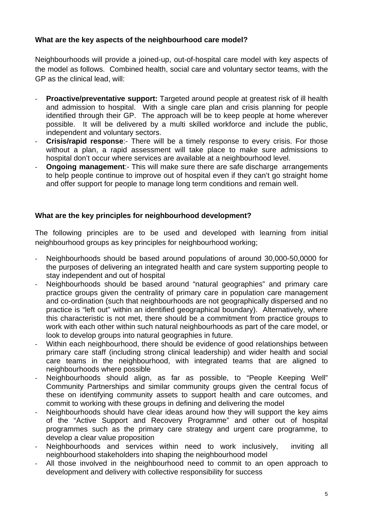# **What are the key aspects of the neighbourhood care model?**

Neighbourhoods will provide a joined-up, out-of-hospital care model with key aspects of the model as follows. Combined health, social care and voluntary sector teams, with the GP as the clinical lead, will:

- ‐ **Proactive/preventative support:** Targeted around people at greatest risk of ill health and admission to hospital. With a single care plan and crisis planning for people identified through their GP. The approach will be to keep people at home wherever possible. It will be delivered by a multi skilled workforce and include the public, independent and voluntary sectors.
- ‐ **Crisis/rapid response**:- There will be a timely response to every crisis. For those without a plan, a rapid assessment will take place to make sure admissions to hospital don't occur where services are available at a neighbourhood level.
- ‐ **Ongoing management**:- This will make sure there are safe discharge arrangements to help people continue to improve out of hospital even if they can't go straight home and offer support for people to manage long term conditions and remain well.

### **What are the key principles for neighbourhood development?**

The following principles are to be used and developed with learning from initial neighbourhood groups as key principles for neighbourhood working;

- ‐ Neighbourhoods should be based around populations of around 30,000-50,0000 for the purposes of delivering an integrated health and care system supporting people to stay independent and out of hospital
- ‐ Neighbourhoods should be based around "natural geographies" and primary care practice groups given the centrality of primary care in population care management and co-ordination (such that neighbourhoods are not geographically dispersed and no practice is "left out" within an identified geographical boundary). Alternatively, where this characteristic is not met, there should be a commitment from practice groups to work with each other within such natural neighbourhoods as part of the care model, or look to develop groups into natural geographies in future.
- Within each neighbourhood, there should be evidence of good relationships between primary care staff (including strong clinical leadership) and wider health and social care teams in the neighbourhood, with integrated teams that are aligned to neighbourhoods where possible
- Neighbourhoods should align, as far as possible, to "People Keeping Well" Community Partnerships and similar community groups given the central focus of these on identifying community assets to support health and care outcomes, and commit to working with these groups in defining and delivering the model
- ‐ Neighbourhoods should have clear ideas around how they will support the key aims of the "Active Support and Recovery Programme" and other out of hospital programmes such as the primary care strategy and urgent care programme, to develop a clear value proposition
- Neighbourhoods and services within need to work inclusively, inviting all neighbourhood stakeholders into shaping the neighbourhood model
- All those involved in the neighbourhood need to commit to an open approach to development and delivery with collective responsibility for success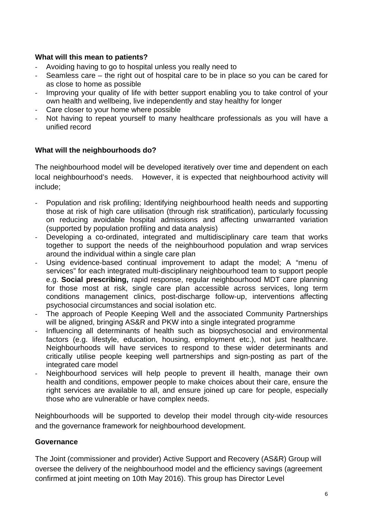### **What will this mean to patients?**

- ‐ Avoiding having to go to hospital unless you really need to
- ‐ Seamless care the right out of hospital care to be in place so you can be cared for as close to home as possible
- ‐ Improving your quality of life with better support enabling you to take control of your own health and wellbeing, live independently and stay healthy for longer
- ‐ Care closer to your home where possible
- ‐ Not having to repeat yourself to many healthcare professionals as you will have a unified record

### **What will the neighbourhoods do?**

The neighbourhood model will be developed iteratively over time and dependent on each local neighbourhood's needs. However, it is expected that neighbourhood activity will include;

- ‐ Population and risk profiling; Identifying neighbourhood health needs and supporting those at risk of high care utilisation (through risk stratification), particularly focussing on reducing avoidable hospital admissions and affecting unwarranted variation (supported by population profiling and data analysis)
- ‐ Developing a co-ordinated, integrated and multidisciplinary care team that works together to support the needs of the neighbourhood population and wrap services around the individual within a single care plan
- Using evidence-based continual improvement to adapt the model; A "menu of services" for each integrated multi-disciplinary neighbourhood team to support people e.g. **Social prescribing,** rapid response, regular neighbourhood MDT care planning for those most at risk, single care plan accessible across services, long term conditions management clinics, post-discharge follow-up, interventions affecting psychosocial circumstances and social isolation etc.
- ‐ The approach of People Keeping Well and the associated Community Partnerships will be aligned, bringing AS&R and PKW into a single integrated programme
- Influencing all determinants of health such as biopsychosocial and environmental factors (e.g. lifestyle, education, housing, employment etc.), not just health*care*. Neighbourhoods will have services to respond to these wider determinants and critically utilise people keeping well partnerships and sign-posting as part of the integrated care model
- those who are vulnerable or have complex needs. Neighbourhood services will help people to prevent ill health, manage their own health and conditions, empower people to make choices about their care, ensure the right services are available to all, and ensure joined up care for people, especially

Neighbourhoods will be supported to develop their model through city-wide resources and the governance framework for neighbourhood development.

### **Governance**

The Joint (commissioner and provider) Active Support and Recovery (AS&R) Group will oversee the delivery of the neighbourhood model and the efficiency savings (agreement confirmed at joint meeting on 10th May 2016). This group has Director Level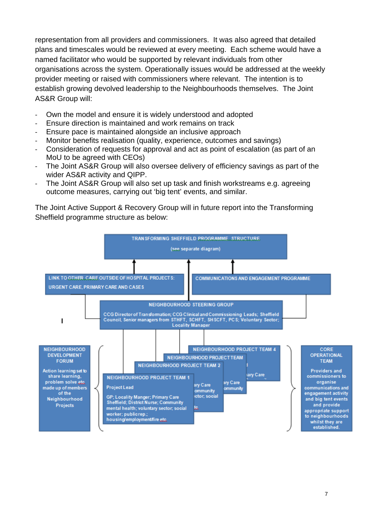representation from all providers and commissioners. It was also agreed that detailed plans and timescales would be reviewed at every meeting. Each scheme would have a named facilitator who would be supported by relevant individuals from other organisations across the system. Operationally issues would be addressed at the weekly provider meeting or raised with commissioners where relevant. The intention is to establish growing devolved leadership to the Neighbourhoods themselves. The Joint AS&R Group will:

- ‐ Own the model and ensure it is widely understood and adopted
- ‐ Ensure direction is maintained and work remains on track
- ‐ Ensure pace is maintained alongside an inclusive approach
- Monitor benefits realisation (quality, experience, outcomes and savings)
- ‐ Consideration of requests for approval and act as point of escalation (as part of an MoU to be agreed with CEOs)
- The Joint AS&R Group will also oversee delivery of efficiency savings as part of the wider AS&R activity and QIPP.
- ‐ The Joint AS&R Group will also set up task and finish workstreams e.g. agreeing outcome measures, carrying out 'big tent' events, and similar.

The Joint Active Support & Recovery Group will in future report into the Transforming Sheffield programme structure as below:

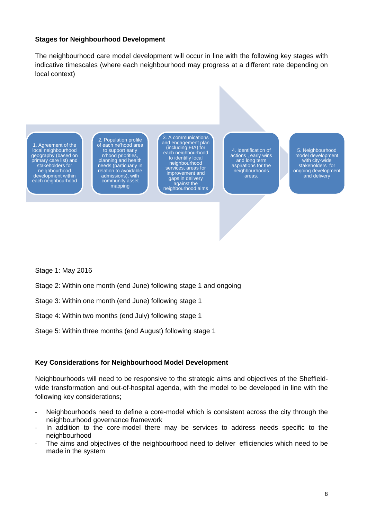#### **Stages for Neighbourhood Development**

The neighbourhood care model development will occur in line with the following key stages with indicative timescales (where each neighbourhood may progress at a different rate depending on local context)

1. Agreement of the local neighbourhood geography (based on primary care list) and stakeholders for neighbourhood development within each neighbourhood

2. Population profile of each ne'hood area to support early n'hood priorities, planning and health needs (particuarly in relation to avoidable admissions), with community asset mapping

3. A communications and engagement plan (including EIA) for each neighbourhood to identifiy local neighbourhood services, areas for improvement and gaps in delivery against the neighbourhood aims

4. Identification of actions , early wins and long term aspirations for the neighbourhoods areas.

5. Neighbourhood model development with city-wide stakeholders for ongoing development and delivery

Stage 1: May 2016

- Stage 2: Within one month (end June) following stage 1 and ongoing
- Stage 3: Within one month (end June) following stage 1
- Stage 4: Within two months (end July) following stage 1
- Stage 5: Within three months (end August) following stage 1

#### **Key Considerations for Neighbourhood Model Development**

Neighbourhoods will need to be responsive to the strategic aims and objectives of the Sheffieldwide transformation and out-of-hospital agenda, with the model to be developed in line with the following key considerations;

- ‐ Neighbourhoods need to define a core-model which is consistent across the city through the neighbourhood governance framework
- In addition to the core-model there may be services to address needs specific to the neighbourhood
- ‐ The aims and objectives of the neighbourhood need to deliver efficiencies which need to be made in the system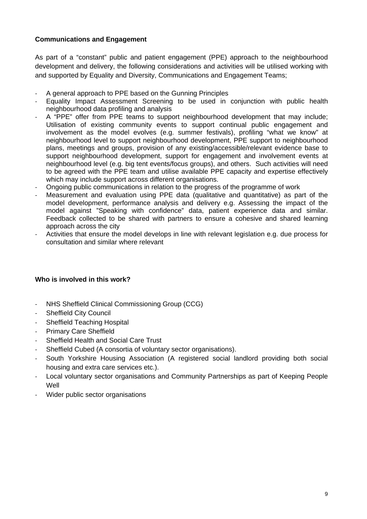### **Communications and Engagement**

As part of a "constant" public and patient engagement (PPE) approach to the neighbourhood development and delivery, the following considerations and activities will be utilised working with and supported by Equality and Diversity, Communications and Engagement Teams;

- ‐ A general approach to PPE based on the Gunning Principles
- ‐ Equality Impact Assessment Screening to be used in conjunction with public health neighbourhood data profiling and analysis
- ‐ A "PPE" offer from PPE teams to support neighbourhood development that may include; Utilisation of existing community events to support continual public engagement and involvement as the model evolves (e.g. summer festivals), profiling "what we know" at neighbourhood level to support neighbourhood development, PPE support to neighbourhood plans, meetings and groups, provision of any existing/accessible/relevant evidence base to support neighbourhood development, support for engagement and involvement events at neighbourhood level (e.g. big tent events/focus groups), and others. Such activities will need to be agreed with the PPE team and utilise available PPE capacity and expertise effectively which may include support across different organisations.
- ‐ Ongoing public communications in relation to the progress of the programme of work
- ‐ Measurement and evaluation using PPE data (qualitative and quantitative) as part of the model development, performance analysis and delivery e.g. Assessing the impact of the model against "Speaking with confidence" data, patient experience data and similar. Feedback collected to be shared with partners to ensure a cohesive and shared learning approach across the city
- ‐ Activities that ensure the model develops in line with relevant legislation e.g. due process for consultation and similar where relevant

### **Who is involved in this work?**

- ‐ NHS Sheffield Clinical Commissioning Group (CCG)
- Sheffield City Council
- Sheffield Teaching Hospital
- ‐ Primary Care Sheffield
- ‐ Sheffield Health and Social Care Trust
- Sheffield Cubed (A consortia of voluntary sector organisations).
- ‐ South Yorkshire Housing Association (A registered social landlord providing both social housing and extra care services etc.).
- ‐ Local voluntary sector organisations and Community Partnerships as part of Keeping People Well
- Wider public sector organisations